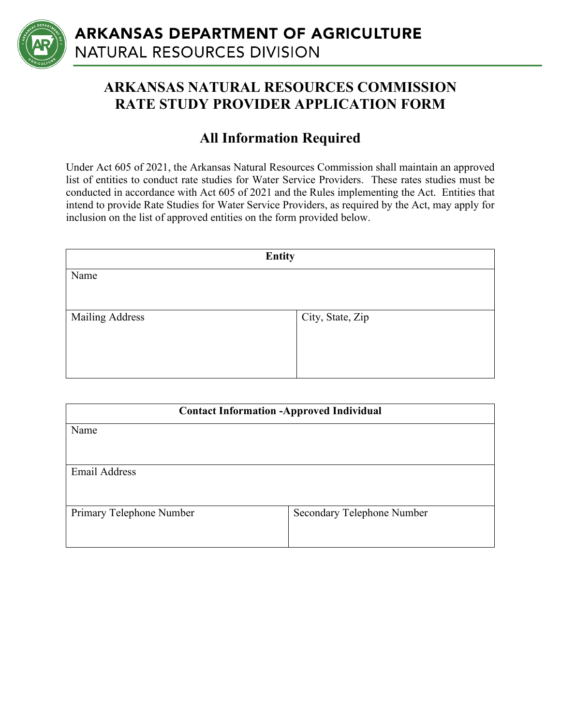

## **ARKANSAS NATURAL RESOURCES COMMISSION RATE STUDY PROVIDER APPLICATION FORM**

## **All Information Required**

Under Act 605 of 2021, the Arkansas Natural Resources Commission shall maintain an approved list of entities to conduct rate studies for Water Service Providers. These rates studies must be conducted in accordance with Act 605 of 2021 and the Rules implementing the Act. Entities that intend to provide Rate Studies for Water Service Providers, as required by the Act, may apply for inclusion on the list of approved entities on the form provided below.

| <b>Entity</b>   |                  |  |
|-----------------|------------------|--|
| Name            |                  |  |
|                 |                  |  |
| Mailing Address | City, State, Zip |  |
|                 |                  |  |
|                 |                  |  |
|                 |                  |  |

| <b>Contact Information -Approved Individual</b> |                            |  |  |
|-------------------------------------------------|----------------------------|--|--|
| Name                                            |                            |  |  |
|                                                 |                            |  |  |
| <b>Email Address</b>                            |                            |  |  |
|                                                 |                            |  |  |
| Primary Telephone Number                        | Secondary Telephone Number |  |  |
|                                                 |                            |  |  |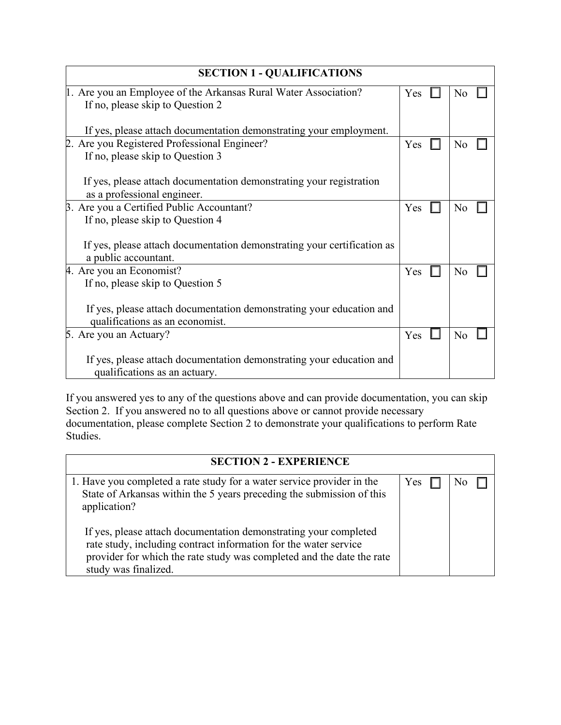| <b>SECTION 1 - QUALIFICATIONS</b>                                                                  |     |  |                |  |
|----------------------------------------------------------------------------------------------------|-----|--|----------------|--|
| 1. Are you an Employee of the Arkansas Rural Water Association?                                    |     |  | N <sub>o</sub> |  |
| If no, please skip to Question 2                                                                   |     |  |                |  |
| If yes, please attach documentation demonstrating your employment.                                 |     |  |                |  |
| 2. Are you Registered Professional Engineer?                                                       |     |  | No             |  |
| If no, please skip to Question 3                                                                   |     |  |                |  |
| If yes, please attach documentation demonstrating your registration<br>as a professional engineer. |     |  |                |  |
| B. Are you a Certified Public Accountant?                                                          | Yes |  | No             |  |
| If no, please skip to Question 4                                                                   |     |  |                |  |
| If yes, please attach documentation demonstrating your certification as                            |     |  |                |  |
| a public accountant.                                                                               |     |  |                |  |
| 4. Are you an Economist?                                                                           | Yes |  | N <sub>o</sub> |  |
| If no, please skip to Question 5                                                                   |     |  |                |  |
| If yes, please attach documentation demonstrating your education and                               |     |  |                |  |
| qualifications as an economist.                                                                    |     |  |                |  |
| 5. Are you an Actuary?                                                                             | Yes |  | No             |  |
| If yes, please attach documentation demonstrating your education and                               |     |  |                |  |
| qualifications as an actuary.                                                                      |     |  |                |  |

If you answered yes to any of the questions above and can provide documentation, you can skip Section 2. If you answered no to all questions above or cannot provide necessary documentation, please complete Section 2 to demonstrate your qualifications to perform Rate Studies.

| <b>SECTION 2 - EXPERIENCE</b>                                                                                                                                                                                                         |     |  |  |  |
|---------------------------------------------------------------------------------------------------------------------------------------------------------------------------------------------------------------------------------------|-----|--|--|--|
| 1. Have you completed a rate study for a water service provider in the<br>State of Arkansas within the 5 years preceding the submission of this<br>application?                                                                       | Yes |  |  |  |
| If yes, please attach documentation demonstrating your completed<br>rate study, including contract information for the water service<br>provider for which the rate study was completed and the date the rate<br>study was finalized. |     |  |  |  |